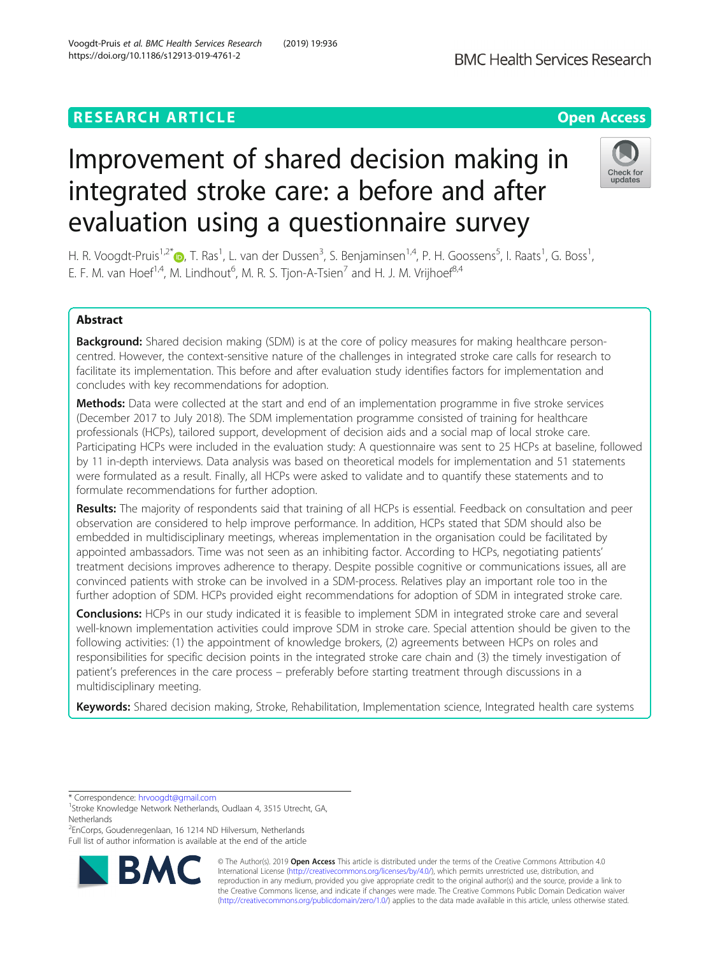## **RESEARCH ARTICLE Example 2014 12:30 The Contract of Contract ACCESS**

# Improvement of shared decision making in integrated stroke care: a before and after evaluation using a questionnaire survey

H. R. Voogdt-Pruis<sup>1,2\*</sup>®, T. Ras<sup>1</sup>, L. van der Dussen<sup>3</sup>, S. Benjaminsen<sup>1,4</sup>, P. H. Goossens<sup>5</sup>, I. Raats<sup>1</sup>, G. Boss<sup>1</sup> , E. F. M. van Hoef<sup>1,4</sup>, M. Lindhout<sup>6</sup>, M. R. S. Tjon-A-Tsien<sup>7</sup> and H. J. M. Vrijhoef<sup>8,4</sup>

## Abstract

**Background:** Shared decision making (SDM) is at the core of policy measures for making healthcare personcentred. However, the context-sensitive nature of the challenges in integrated stroke care calls for research to facilitate its implementation. This before and after evaluation study identifies factors for implementation and concludes with key recommendations for adoption.

**Methods:** Data were collected at the start and end of an implementation programme in five stroke services (December 2017 to July 2018). The SDM implementation programme consisted of training for healthcare professionals (HCPs), tailored support, development of decision aids and a social map of local stroke care. Participating HCPs were included in the evaluation study: A questionnaire was sent to 25 HCPs at baseline, followed by 11 in-depth interviews. Data analysis was based on theoretical models for implementation and 51 statements were formulated as a result. Finally, all HCPs were asked to validate and to quantify these statements and to formulate recommendations for further adoption.

Results: The majority of respondents said that training of all HCPs is essential. Feedback on consultation and peer observation are considered to help improve performance. In addition, HCPs stated that SDM should also be embedded in multidisciplinary meetings, whereas implementation in the organisation could be facilitated by appointed ambassadors. Time was not seen as an inhibiting factor. According to HCPs, negotiating patients' treatment decisions improves adherence to therapy. Despite possible cognitive or communications issues, all are convinced patients with stroke can be involved in a SDM-process. Relatives play an important role too in the further adoption of SDM. HCPs provided eight recommendations for adoption of SDM in integrated stroke care.

**Conclusions:** HCPs in our study indicated it is feasible to implement SDM in integrated stroke care and several well-known implementation activities could improve SDM in stroke care. Special attention should be given to the following activities: (1) the appointment of knowledge brokers, (2) agreements between HCPs on roles and responsibilities for specific decision points in the integrated stroke care chain and (3) the timely investigation of patient's preferences in the care process – preferably before starting treatment through discussions in a multidisciplinary meeting.

Keywords: Shared decision making, Stroke, Rehabilitation, Implementation science, Integrated health care systems

\* Correspondence: [hrvoogdt@gmail.com](mailto:hrvoogdt@gmail.com) <sup>1</sup>

<sup>2</sup> EnCorps, Goudenregenlaan, 16 1214 ND Hilversum, Netherlands Full list of author information is available at the end of the article

> © The Author(s). 2019 **Open Access** This article is distributed under the terms of the Creative Commons Attribution 4.0 International License [\(http://creativecommons.org/licenses/by/4.0/](http://creativecommons.org/licenses/by/4.0/)), which permits unrestricted use, distribution, and reproduction in any medium, provided you give appropriate credit to the original author(s) and the source, provide a link to the Creative Commons license, and indicate if changes were made. The Creative Commons Public Domain Dedication waiver [\(http://creativecommons.org/publicdomain/zero/1.0/](http://creativecommons.org/publicdomain/zero/1.0/)) applies to the data made available in this article, unless otherwise stated.

Voogdt-Pruis et al. BMC Health Services Research (2019) 19:936 https://doi.org/10.1186/s12913-019-4761-2





**BMC Health Services Research** 

<sup>&</sup>lt;sup>1</sup>Stroke Knowledge Network Netherlands, Oudlaan 4, 3515 Utrecht, GA, Netherlands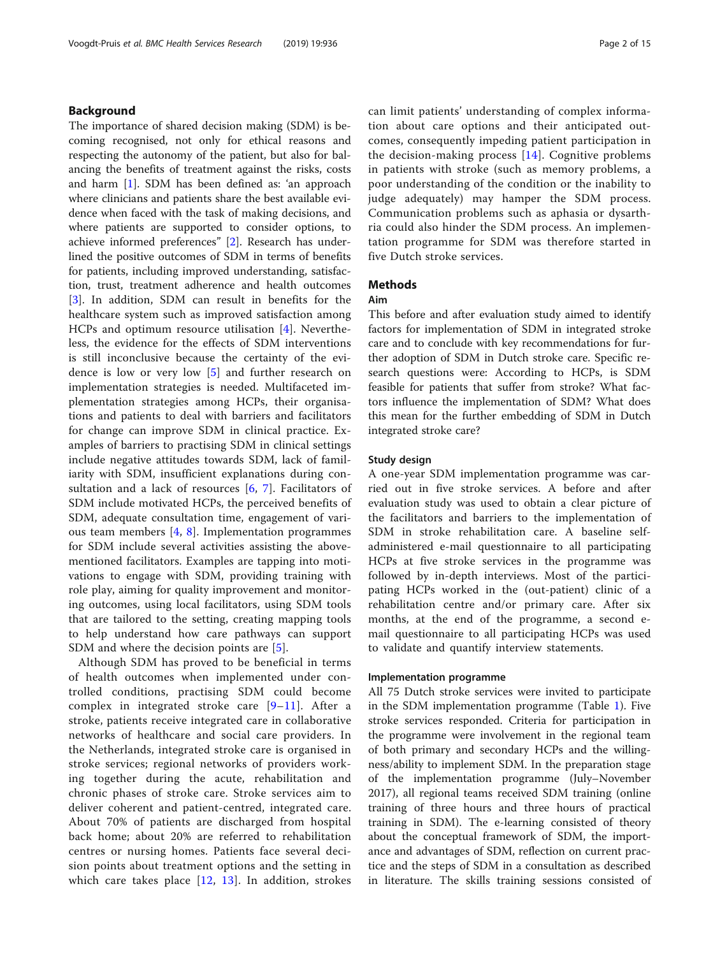## Background

The importance of shared decision making (SDM) is becoming recognised, not only for ethical reasons and respecting the autonomy of the patient, but also for balancing the benefits of treatment against the risks, costs and harm [\[1](#page-13-0)]. SDM has been defined as: 'an approach where clinicians and patients share the best available evidence when faced with the task of making decisions, and where patients are supported to consider options, to achieve informed preferences" [\[2](#page-13-0)]. Research has underlined the positive outcomes of SDM in terms of benefits for patients, including improved understanding, satisfaction, trust, treatment adherence and health outcomes [[3\]](#page-13-0). In addition, SDM can result in benefits for the healthcare system such as improved satisfaction among HCPs and optimum resource utilisation [\[4](#page-13-0)]. Nevertheless, the evidence for the effects of SDM interventions is still inconclusive because the certainty of the evidence is low or very low [\[5](#page-13-0)] and further research on implementation strategies is needed. Multifaceted implementation strategies among HCPs, their organisations and patients to deal with barriers and facilitators for change can improve SDM in clinical practice. Examples of barriers to practising SDM in clinical settings include negative attitudes towards SDM, lack of familiarity with SDM, insufficient explanations during consultation and a lack of resources  $[6, 7]$  $[6, 7]$  $[6, 7]$  $[6, 7]$  $[6, 7]$ . Facilitators of SDM include motivated HCPs, the perceived benefits of SDM, adequate consultation time, engagement of various team members  $[4, 8]$  $[4, 8]$  $[4, 8]$  $[4, 8]$  $[4, 8]$ . Implementation programmes for SDM include several activities assisting the abovementioned facilitators. Examples are tapping into motivations to engage with SDM, providing training with role play, aiming for quality improvement and monitoring outcomes, using local facilitators, using SDM tools that are tailored to the setting, creating mapping tools to help understand how care pathways can support SDM and where the decision points are [\[5](#page-13-0)].

Although SDM has proved to be beneficial in terms of health outcomes when implemented under controlled conditions, practising SDM could become complex in integrated stroke care [[9](#page-13-0)–[11](#page-13-0)]. After a stroke, patients receive integrated care in collaborative networks of healthcare and social care providers. In the Netherlands, integrated stroke care is organised in stroke services; regional networks of providers working together during the acute, rehabilitation and chronic phases of stroke care. Stroke services aim to deliver coherent and patient-centred, integrated care. About 70% of patients are discharged from hospital back home; about 20% are referred to rehabilitation centres or nursing homes. Patients face several decision points about treatment options and the setting in which care takes place  $[12, 13]$  $[12, 13]$  $[12, 13]$  $[12, 13]$ . In addition, strokes can limit patients' understanding of complex information about care options and their anticipated outcomes, consequently impeding patient participation in the decision-making process  $[14]$  $[14]$  $[14]$ . Cognitive problems in patients with stroke (such as memory problems, a poor understanding of the condition or the inability to judge adequately) may hamper the SDM process. Communication problems such as aphasia or dysarthria could also hinder the SDM process. An implementation programme for SDM was therefore started in five Dutch stroke services.

## **Methods**

## Aim

This before and after evaluation study aimed to identify factors for implementation of SDM in integrated stroke care and to conclude with key recommendations for further adoption of SDM in Dutch stroke care. Specific research questions were: According to HCPs, is SDM feasible for patients that suffer from stroke? What factors influence the implementation of SDM? What does this mean for the further embedding of SDM in Dutch integrated stroke care?

## Study design

A one-year SDM implementation programme was carried out in five stroke services. A before and after evaluation study was used to obtain a clear picture of the facilitators and barriers to the implementation of SDM in stroke rehabilitation care. A baseline selfadministered e-mail questionnaire to all participating HCPs at five stroke services in the programme was followed by in-depth interviews. Most of the participating HCPs worked in the (out-patient) clinic of a rehabilitation centre and/or primary care. After six months, at the end of the programme, a second email questionnaire to all participating HCPs was used to validate and quantify interview statements.

#### Implementation programme

All 75 Dutch stroke services were invited to participate in the SDM implementation programme (Table [1\)](#page-2-0). Five stroke services responded. Criteria for participation in the programme were involvement in the regional team of both primary and secondary HCPs and the willingness/ability to implement SDM. In the preparation stage of the implementation programme (July–November 2017), all regional teams received SDM training (online training of three hours and three hours of practical training in SDM). The e-learning consisted of theory about the conceptual framework of SDM, the importance and advantages of SDM, reflection on current practice and the steps of SDM in a consultation as described in literature. The skills training sessions consisted of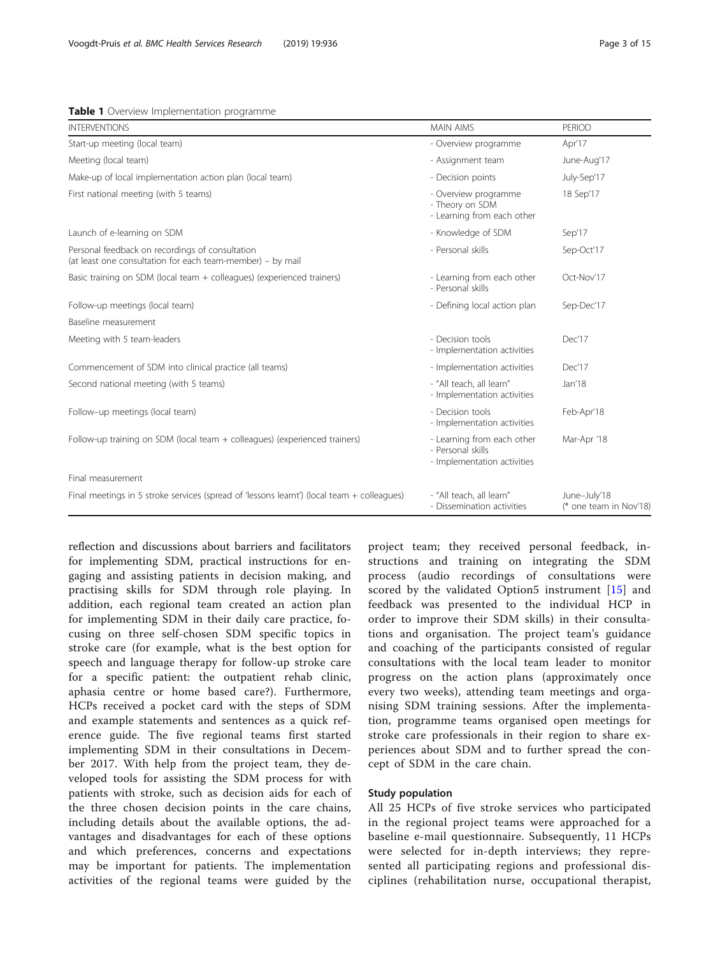#### <span id="page-2-0"></span>**Table 1** Overview Implementation programme

| <b>INTERVENTIONS</b>                                                                                          | <b>MAIN AIMS</b>                                                               | PERIOD                                 |
|---------------------------------------------------------------------------------------------------------------|--------------------------------------------------------------------------------|----------------------------------------|
| Start-up meeting (local team)                                                                                 | - Overview programme                                                           | Apr'17                                 |
| Meeting (local team)                                                                                          | - Assignment team                                                              | June-Aug'17                            |
| Make-up of local implementation action plan (local team)                                                      | - Decision points                                                              | July-Sep'17                            |
| First national meeting (with 5 teams)                                                                         | - Overview programme<br>- Theory on SDM<br>- Learning from each other          | 18 Sep'17                              |
| Launch of e-learning on SDM                                                                                   | - Knowledge of SDM                                                             | Sep'17                                 |
| Personal feedback on recordings of consultation<br>(at least one consultation for each team-member) - by mail | - Personal skills                                                              | Sep-Oct'17                             |
| Basic training on SDM (local team + colleagues) (experienced trainers)                                        | - Learning from each other<br>- Personal skills                                | Oct-Nov'17                             |
| Follow-up meetings (local team)                                                                               | - Defining local action plan                                                   | Sep-Dec'17                             |
| Baseline measurement                                                                                          |                                                                                |                                        |
| Meeting with 5 team-leaders                                                                                   | - Decision tools<br>- Implementation activities                                | Dec'17                                 |
| Commencement of SDM into clinical practice (all teams)                                                        | - Implementation activities                                                    | Dec'17                                 |
| Second national meeting (with 5 teams)                                                                        | - "All teach, all learn"<br>- Implementation activities                        | Jan'18                                 |
| Follow-up meetings (local team)                                                                               | - Decision tools<br>- Implementation activities                                | Feb-Apr'18                             |
| Follow-up training on SDM (local team + colleagues) (experienced trainers)                                    | - Learning from each other<br>- Personal skills<br>- Implementation activities | Mar-Apr '18                            |
| Final measurement                                                                                             |                                                                                |                                        |
| Final meetings in 5 stroke services (spread of 'lessons learnt') (local team + colleagues)                    | - "All teach, all learn"<br>- Dissemination activities                         | June-July'18<br>(* one team in Nov'18) |

reflection and discussions about barriers and facilitators for implementing SDM, practical instructions for engaging and assisting patients in decision making, and practising skills for SDM through role playing. In addition, each regional team created an action plan for implementing SDM in their daily care practice, focusing on three self-chosen SDM specific topics in stroke care (for example, what is the best option for speech and language therapy for follow-up stroke care for a specific patient: the outpatient rehab clinic, aphasia centre or home based care?). Furthermore, HCPs received a pocket card with the steps of SDM and example statements and sentences as a quick reference guide. The five regional teams first started implementing SDM in their consultations in December 2017. With help from the project team, they developed tools for assisting the SDM process for with patients with stroke, such as decision aids for each of the three chosen decision points in the care chains, including details about the available options, the advantages and disadvantages for each of these options and which preferences, concerns and expectations may be important for patients. The implementation activities of the regional teams were guided by the

project team; they received personal feedback, instructions and training on integrating the SDM process (audio recordings of consultations were scored by the validated Option5 instrument [\[15](#page-13-0)] and feedback was presented to the individual HCP in order to improve their SDM skills) in their consultations and organisation. The project team's guidance and coaching of the participants consisted of regular consultations with the local team leader to monitor progress on the action plans (approximately once every two weeks), attending team meetings and organising SDM training sessions. After the implementation, programme teams organised open meetings for stroke care professionals in their region to share experiences about SDM and to further spread the concept of SDM in the care chain.

## Study population

All 25 HCPs of five stroke services who participated in the regional project teams were approached for a baseline e-mail questionnaire. Subsequently, 11 HCPs were selected for in-depth interviews; they represented all participating regions and professional disciplines (rehabilitation nurse, occupational therapist,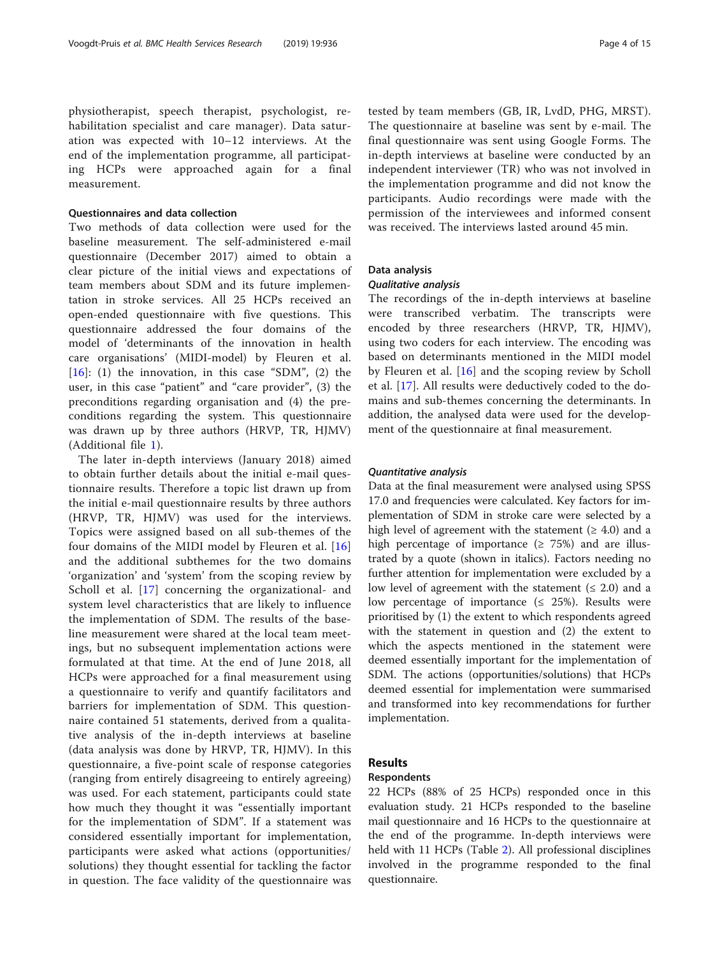physiotherapist, speech therapist, psychologist, rehabilitation specialist and care manager). Data saturation was expected with 10–12 interviews. At the end of the implementation programme, all participating HCPs were approached again for a final measurement.

## Questionnaires and data collection

Two methods of data collection were used for the baseline measurement. The self-administered e-mail questionnaire (December 2017) aimed to obtain a clear picture of the initial views and expectations of team members about SDM and its future implementation in stroke services. All 25 HCPs received an open-ended questionnaire with five questions. This questionnaire addressed the four domains of the model of 'determinants of the innovation in health care organisations' (MIDI-model) by Fleuren et al.  $[16]$  $[16]$ : (1) the innovation, in this case "SDM", (2) the user, in this case "patient" and "care provider", (3) the preconditions regarding organisation and (4) the preconditions regarding the system. This questionnaire was drawn up by three authors (HRVP, TR, HJMV) (Additional file [1\)](#page-13-0).

The later in-depth interviews (January 2018) aimed to obtain further details about the initial e-mail questionnaire results. Therefore a topic list drawn up from the initial e-mail questionnaire results by three authors (HRVP, TR, HJMV) was used for the interviews. Topics were assigned based on all sub-themes of the four domains of the MIDI model by Fleuren et al. [\[16](#page-13-0)] and the additional subthemes for the two domains 'organization' and 'system' from the scoping review by Scholl et al. [[17](#page-13-0)] concerning the organizational- and system level characteristics that are likely to influence the implementation of SDM. The results of the baseline measurement were shared at the local team meetings, but no subsequent implementation actions were formulated at that time. At the end of June 2018, all HCPs were approached for a final measurement using a questionnaire to verify and quantify facilitators and barriers for implementation of SDM. This questionnaire contained 51 statements, derived from a qualitative analysis of the in-depth interviews at baseline (data analysis was done by HRVP, TR, HJMV). In this questionnaire, a five-point scale of response categories (ranging from entirely disagreeing to entirely agreeing) was used. For each statement, participants could state how much they thought it was "essentially important for the implementation of SDM". If a statement was considered essentially important for implementation, participants were asked what actions (opportunities/ solutions) they thought essential for tackling the factor in question. The face validity of the questionnaire was

tested by team members (GB, IR, LvdD, PHG, MRST). The questionnaire at baseline was sent by e-mail. The final questionnaire was sent using Google Forms. The in-depth interviews at baseline were conducted by an independent interviewer (TR) who was not involved in the implementation programme and did not know the participants. Audio recordings were made with the permission of the interviewees and informed consent was received. The interviews lasted around 45 min.

## Data analysis

## Qualitative analysis

The recordings of the in-depth interviews at baseline were transcribed verbatim. The transcripts were encoded by three researchers (HRVP, TR, HJMV), using two coders for each interview. The encoding was based on determinants mentioned in the MIDI model by Fleuren et al. [[16](#page-13-0)] and the scoping review by Scholl et al. [\[17](#page-13-0)]. All results were deductively coded to the domains and sub-themes concerning the determinants. In addition, the analysed data were used for the development of the questionnaire at final measurement.

## Quantitative analysis

Data at the final measurement were analysed using SPSS 17.0 and frequencies were calculated. Key factors for implementation of SDM in stroke care were selected by a high level of agreement with the statement ( $\geq 4.0$ ) and a high percentage of importance ( $\geq$  75%) and are illustrated by a quote (shown in italics). Factors needing no further attention for implementation were excluded by a low level of agreement with the statement  $( \leq 2.0)$  and a low percentage of importance  $(≤ 25%)$ . Results were prioritised by (1) the extent to which respondents agreed with the statement in question and (2) the extent to which the aspects mentioned in the statement were deemed essentially important for the implementation of SDM. The actions (opportunities/solutions) that HCPs deemed essential for implementation were summarised and transformed into key recommendations for further implementation.

## Results

## Respondents

22 HCPs (88% of 25 HCPs) responded once in this evaluation study. 21 HCPs responded to the baseline mail questionnaire and 16 HCPs to the questionnaire at the end of the programme. In-depth interviews were held with 11 HCPs (Table [2](#page-4-0)). All professional disciplines involved in the programme responded to the final questionnaire.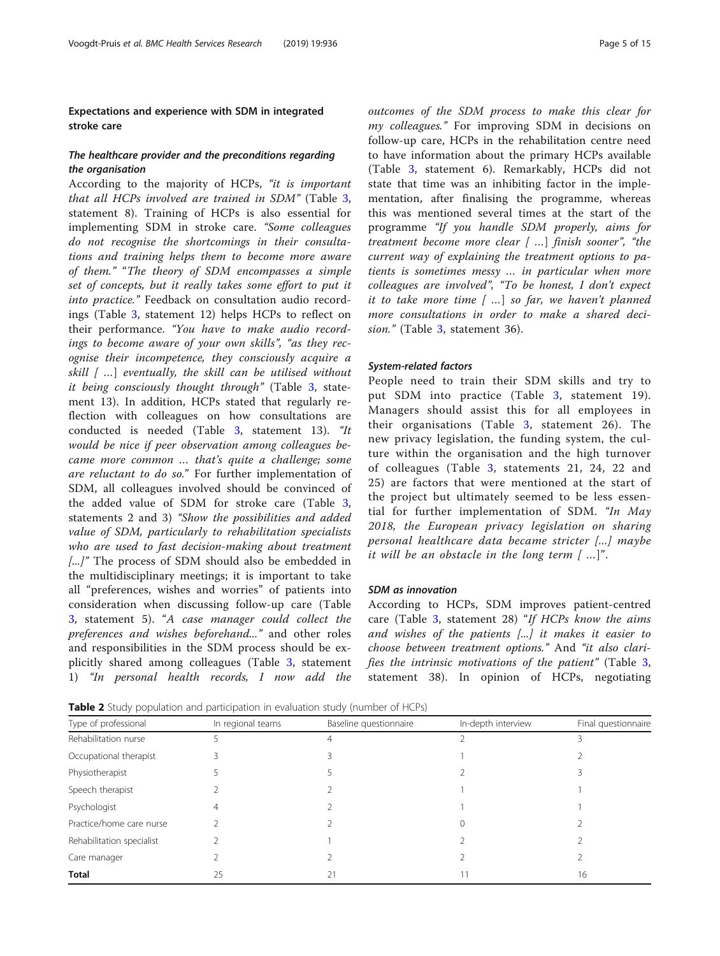## <span id="page-4-0"></span>Expectations and experience with SDM in integrated stroke care

## The healthcare provider and the preconditions regarding the organisation

According to the majority of HCPs, "it is important that all HCPs involved are trained in SDM" (Table [3](#page-5-0), statement 8). Training of HCPs is also essential for implementing SDM in stroke care. "Some colleagues do not recognise the shortcomings in their consultations and training helps them to become more aware of them." "The theory of SDM encompasses a simple set of concepts, but it really takes some effort to put it into practice." Feedback on consultation audio recordings (Table [3,](#page-5-0) statement 12) helps HCPs to reflect on their performance. "You have to make audio recordings to become aware of your own skills", "as they recognise their incompetence, they consciously acquire a skill  $[$ ...] eventually, the skill can be utilised without it being consciously thought through" (Table [3](#page-5-0), statement 13). In addition, HCPs stated that regularly reflection with colleagues on how consultations are conducted is needed (Table [3,](#page-5-0) statement 13). "It would be nice if peer observation among colleagues became more common … that's quite a challenge; some are reluctant to do so." For further implementation of SDM, all colleagues involved should be convinced of the added value of SDM for stroke care (Table [3](#page-5-0), statements 2 and 3) "Show the possibilities and added value of SDM, particularly to rehabilitation specialists who are used to fast decision-making about treatment [...]" The process of SDM should also be embedded in the multidisciplinary meetings; it is important to take all "preferences, wishes and worries" of patients into consideration when discussing follow-up care (Table [3,](#page-5-0) statement 5). "A case manager could collect the preferences and wishes beforehand..." and other roles and responsibilities in the SDM process should be explicitly shared among colleagues (Table [3](#page-5-0), statement 1) "In personal health records, I now add the outcomes of the SDM process to make this clear for my colleagues." For improving SDM in decisions on follow-up care, HCPs in the rehabilitation centre need to have information about the primary HCPs available (Table [3](#page-5-0), statement 6). Remarkably, HCPs did not state that time was an inhibiting factor in the implementation, after finalising the programme, whereas this was mentioned several times at the start of the programme "If you handle SDM properly, aims for treatment become more clear  $[$  ...] finish sooner", "the current way of explaining the treatment options to patients is sometimes messy … in particular when more colleagues are involved", "To be honest, I don't expect it to take more time [ …] so far, we haven't planned more consultations in order to make a shared deci-sion." (Table [3,](#page-5-0) statement 36).

#### System-related factors

People need to train their SDM skills and try to put SDM into practice (Table [3,](#page-5-0) statement 19). Managers should assist this for all employees in their organisations (Table [3](#page-5-0), statement 26). The new privacy legislation, the funding system, the culture within the organisation and the high turnover of colleagues (Table [3](#page-5-0), statements 21, 24, 22 and 25) are factors that were mentioned at the start of the project but ultimately seemed to be less essential for further implementation of SDM. "In May 2018, the European privacy legislation on sharing personal healthcare data became stricter [...] maybe it will be an obstacle in the long term [ …]".

#### SDM as innovation

According to HCPs, SDM improves patient-centred care (Table [3](#page-5-0), statement 28) "If HCPs know the aims and wishes of the patients [...] it makes it easier to choose between treatment options." And "it also clarifies the intrinsic motivations of the patient" (Table [3](#page-5-0), statement 38). In opinion of HCPs, negotiating

**Table 2** Study population and participation in evaluation study (number of HCPs)

| Type of professional      | In regional teams | Baseline questionnaire | In-depth interview | Final questionnaire |
|---------------------------|-------------------|------------------------|--------------------|---------------------|
| Rehabilitation nurse      |                   |                        |                    |                     |
| Occupational therapist    |                   |                        |                    |                     |
| Physiotherapist           |                   |                        |                    |                     |
| Speech therapist          |                   |                        |                    |                     |
| Psychologist              |                   |                        |                    |                     |
| Practice/home care nurse  |                   |                        |                    |                     |
| Rehabilitation specialist |                   |                        |                    |                     |
| Care manager              |                   |                        |                    |                     |
| <b>Total</b>              | 25                |                        |                    | 16                  |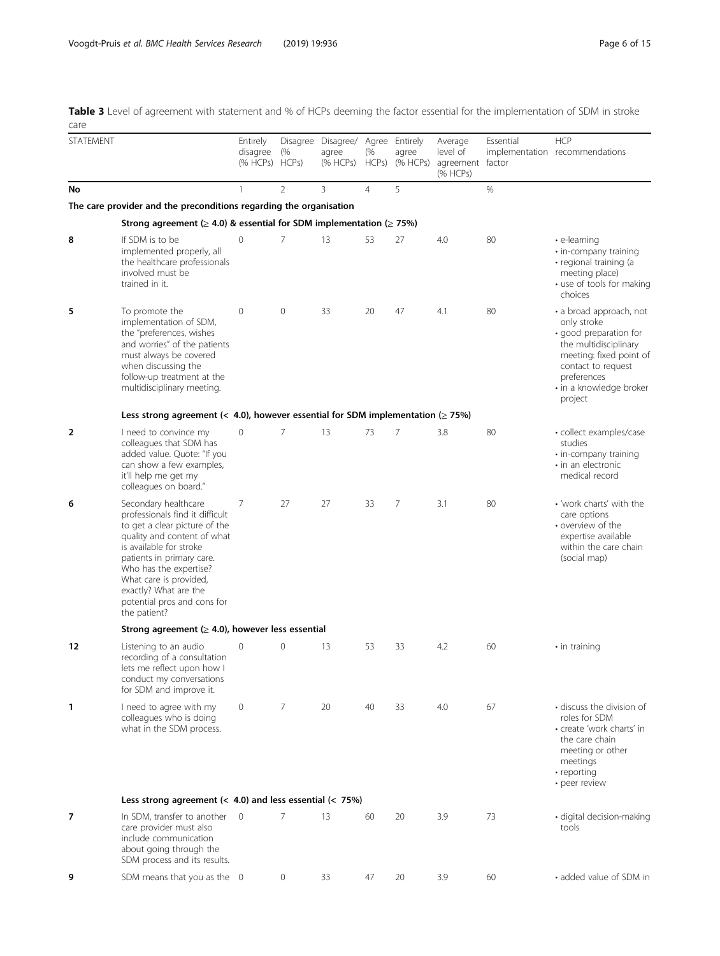<span id="page-5-0"></span>Table 3 Level of agreement with statement and % of HCPs deeming the factor essential for the implementation of SDM in stroke care

| <b>STATEMENT</b> |                                                                                                                                                                                                                                                                                                             | Entirely<br>disagree<br>(% HCPs) HCPs) | (%             | Disagree Disagree/ Agree Entirely<br>agree<br>(% HCPs) | (%<br>HCPs)    | agree<br>(% HCPs) | Average<br>level of<br>agreement factor<br>(% HCPs) | Essential | <b>HCP</b><br>implementation recommendations                                                                                                                                                    |
|------------------|-------------------------------------------------------------------------------------------------------------------------------------------------------------------------------------------------------------------------------------------------------------------------------------------------------------|----------------------------------------|----------------|--------------------------------------------------------|----------------|-------------------|-----------------------------------------------------|-----------|-------------------------------------------------------------------------------------------------------------------------------------------------------------------------------------------------|
| No               |                                                                                                                                                                                                                                                                                                             | 1                                      | $\overline{2}$ | 3                                                      | $\overline{4}$ | 5                 |                                                     | %         |                                                                                                                                                                                                 |
|                  | The care provider and the preconditions regarding the organisation                                                                                                                                                                                                                                          |                                        |                |                                                        |                |                   |                                                     |           |                                                                                                                                                                                                 |
|                  | Strong agreement ( $\geq$ 4.0) & essential for SDM implementation ( $\geq$ 75%)                                                                                                                                                                                                                             |                                        |                |                                                        |                |                   |                                                     |           |                                                                                                                                                                                                 |
| 8                | If SDM is to be<br>implemented properly, all<br>the healthcare professionals<br>involved must be<br>trained in it.                                                                                                                                                                                          | 0                                      | 7              | 13                                                     | 53             | 27                | 4.0                                                 | 80        | $\cdot$ e-learning<br>· in-company training<br>· regional training (a<br>meeting place)<br>• use of tools for making<br>choices                                                                 |
| 5                | To promote the<br>implementation of SDM,<br>the "preferences, wishes<br>and worries" of the patients<br>must always be covered<br>when discussing the<br>follow-up treatment at the<br>multidisciplinary meeting.                                                                                           | 0                                      | $\mathbf{0}$   | 33                                                     | 20             | 47                | 4.1                                                 | 80        | • a broad approach, not<br>only stroke<br>· good preparation for<br>the multidisciplinary<br>meeting: fixed point of<br>contact to request<br>preferences<br>• in a knowledge broker<br>project |
|                  | Less strong agreement (< 4.0), however essential for SDM implementation ( $\geq$ 75%)                                                                                                                                                                                                                       |                                        |                |                                                        |                |                   |                                                     |           |                                                                                                                                                                                                 |
| 2                | I need to convince my<br>colleagues that SDM has<br>added value. Quote: "If you<br>can show a few examples,<br>it'll help me get my<br>colleagues on board."                                                                                                                                                | 0                                      | 7              | 13                                                     | 73             | $\overline{7}$    | 3.8                                                 | 80        | · collect examples/case<br>studies<br>· in-company training<br>· in an electronic<br>medical record                                                                                             |
| 6                | Secondary healthcare<br>professionals find it difficult<br>to get a clear picture of the<br>quality and content of what<br>is available for stroke<br>patients in primary care.<br>Who has the expertise?<br>What care is provided,<br>exactly? What are the<br>potential pros and cons for<br>the patient? | 7                                      | 27             | 27                                                     | 33             | $\overline{7}$    | 3.1                                                 | 80        | • 'work charts' with the<br>care options<br>• overview of the<br>expertise available<br>within the care chain<br>(social map)                                                                   |
|                  | Strong agreement ( $\geq$ 4.0), however less essential                                                                                                                                                                                                                                                      |                                        |                |                                                        |                |                   |                                                     |           |                                                                                                                                                                                                 |
| 12               | Listening to an audio<br>recording of a consultation<br>lets me reflect upon how I<br>conduct my conversations<br>for SDM and improve it.                                                                                                                                                                   | $\Omega$                               | 0              | 13                                                     | 53             | 33                | 4.2                                                 | 60        | $\cdot$ in training                                                                                                                                                                             |
| 1                | I need to agree with my<br>colleagues who is doing<br>what in the SDM process.                                                                                                                                                                                                                              | 0                                      | $\overline{7}$ | 20                                                     | 40             | 33                | 4.0                                                 | 67        | • discuss the division of<br>roles for SDM<br>• create 'work charts' in<br>the care chain<br>meeting or other<br>meetings<br>• reporting<br>· peer review                                       |
|                  | Less strong agreement ( $<$ 4.0) and less essential ( $<$ 75%)                                                                                                                                                                                                                                              |                                        |                |                                                        |                |                   |                                                     |           |                                                                                                                                                                                                 |
| 7                | In SDM, transfer to another<br>care provider must also<br>include communication<br>about going through the<br>SDM process and its results.                                                                                                                                                                  | $\overline{0}$                         | $\overline{7}$ | 13                                                     | 60             | 20                | 3.9                                                 | 73        | · digital decision-making<br>tools                                                                                                                                                              |
| 9                | SDM means that you as the 0                                                                                                                                                                                                                                                                                 |                                        | 0              | 33                                                     | 47             | 20                | 3.9                                                 | 60        | • added value of SDM in                                                                                                                                                                         |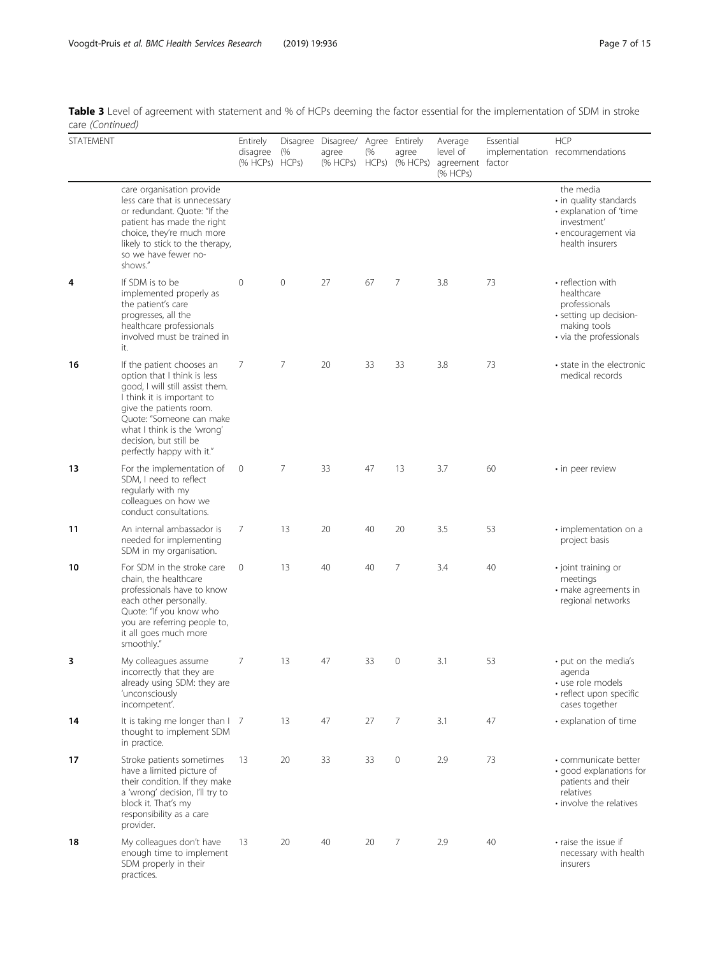Table 3 Level of agreement with statement and % of HCPs deeming the factor essential for the implementation of SDM in stroke care (Continued)

| STATEMENT |                                                                                                                                                                                                                                                                        | Entirely<br>disagree<br>(% HCPs) HCPs) | (%      | Disagree Disagree/ Agree Entirely<br>agree<br>(% HCPs) | (%<br>HCPs) | agree<br>(% HCPs) | Average<br>level of<br>agreement factor<br>(% HCPs) | Essential | <b>HCP</b><br>implementation recommendations                                                                           |
|-----------|------------------------------------------------------------------------------------------------------------------------------------------------------------------------------------------------------------------------------------------------------------------------|----------------------------------------|---------|--------------------------------------------------------|-------------|-------------------|-----------------------------------------------------|-----------|------------------------------------------------------------------------------------------------------------------------|
|           | care organisation provide<br>less care that is unnecessary<br>or redundant. Quote: "If the<br>patient has made the right<br>choice, they're much more<br>likely to stick to the therapy,<br>so we have fewer no-<br>shows."                                            |                                        |         |                                                        |             |                   |                                                     |           | the media<br>• in quality standards<br>• explanation of 'time<br>investment'<br>· encouragement via<br>health insurers |
| 4         | If SDM is to be<br>implemented properly as<br>the patient's care<br>progresses, all the<br>healthcare professionals<br>involved must be trained in<br>it.                                                                                                              | $\mathbf 0$                            | $\circ$ | 27                                                     | 67          | 7                 | 3.8                                                 | 73        | • reflection with<br>healthcare<br>professionals<br>· setting up decision-<br>making tools<br>• via the professionals  |
| 16        | If the patient chooses an<br>option that I think is less<br>good, I will still assist them.<br>I think it is important to<br>give the patients room.<br>Quote: "Someone can make<br>what I think is the 'wrong'<br>decision, but still be<br>perfectly happy with it." | 7                                      | 7       | 20                                                     | 33          | 33                | 3.8                                                 | 73        | • state in the electronic<br>medical records                                                                           |
| 13        | For the implementation of<br>SDM, I need to reflect<br>regularly with my<br>colleagues on how we<br>conduct consultations.                                                                                                                                             | 0                                      | 7       | 33                                                     | 47          | 13                | 3.7                                                 | 60        | · in peer review                                                                                                       |
| 11        | An internal ambassador is<br>needed for implementing<br>SDM in my organisation.                                                                                                                                                                                        | 7                                      | 13      | 20                                                     | 40          | 20                | 3.5                                                 | 53        | · implementation on a<br>project basis                                                                                 |
| 10        | For SDM in the stroke care<br>chain, the healthcare<br>professionals have to know<br>each other personally.<br>Quote: "If you know who<br>you are referring people to,<br>it all goes much more<br>smoothly."                                                          | $\mathbf{0}$                           | 13      | 40                                                     | 40          | $\overline{7}$    | 3.4                                                 | 40        | · joint training or<br>meetings<br>· make agreements in<br>regional networks                                           |
| 3         | My colleagues assume<br>incorrectly that they are<br>already using SDM: they are<br>'unconsciously<br>incompetent'.                                                                                                                                                    | 7                                      | 13      | 47                                                     | 33          | $\circ$           | 3.1                                                 | 53        | • put on the media's<br>agenda<br>• use role models<br>· reflect upon specific<br>cases together                       |
| 14        | It is taking me longer than I 7<br>thought to implement SDM<br>in practice.                                                                                                                                                                                            |                                        | 13      | 47                                                     | 27          | 7                 | 3.1                                                 | 47        | • explanation of time                                                                                                  |
| 17        | Stroke patients sometimes<br>have a limited picture of<br>their condition. If they make<br>a 'wrong' decision, I'll try to<br>block it. That's my<br>responsibility as a care<br>provider.                                                                             | 13                                     | 20      | 33                                                     | 33          | $\mathbf 0$       | 2.9                                                 | 73        | · communicate better<br>· good explanations for<br>patients and their<br>relatives<br>• involve the relatives          |
| 18        | My colleagues don't have<br>enough time to implement<br>SDM properly in their<br>practices.                                                                                                                                                                            | 13                                     | 20      | 40                                                     | 20          | 7                 | 2.9                                                 | 40        | • raise the issue if<br>necessary with health<br>insurers                                                              |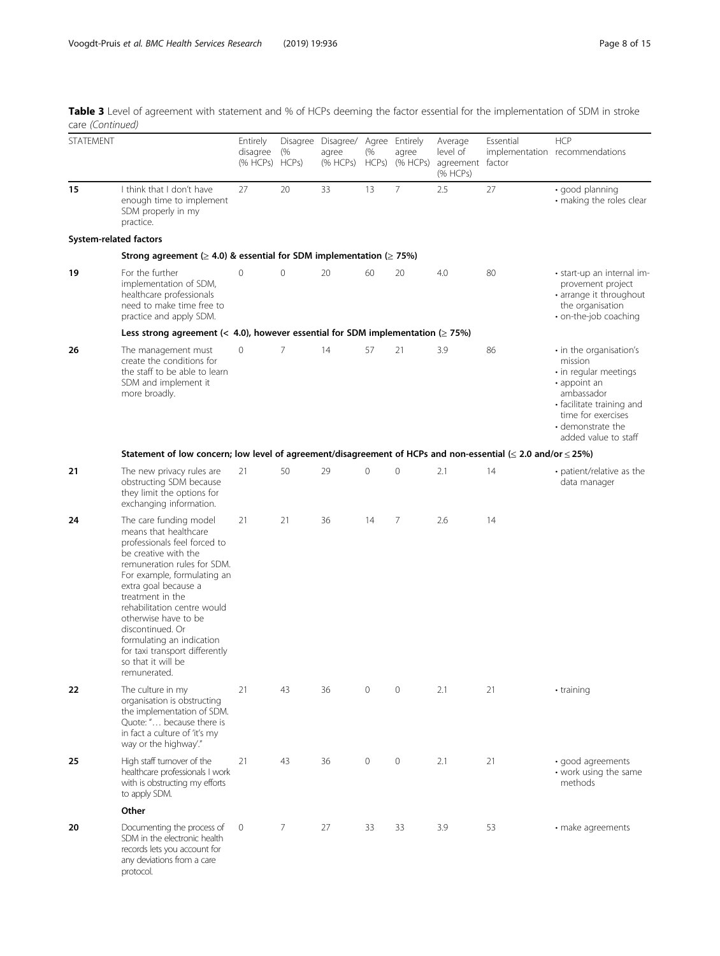Table 3 Level of agreement with statement and % of HCPs deeming the factor essential for the implementation of SDM in stroke care (Continued)

| STATEMENT              |                                                                                                                                                                                                                                                                                                                                                                                                   | Entirely<br>disagree<br>(% HCPs) HCPs) | (%           | Disagree Disagree/ Agree Entirely<br>agree<br>(% HCPs) | (%<br>HCPs) | agree<br>(% HCPs)   | Average<br>level of<br>agreement factor<br>(% HCPs) | Essential | <b>HCP</b><br>implementation recommendations                                                                                                                                              |
|------------------------|---------------------------------------------------------------------------------------------------------------------------------------------------------------------------------------------------------------------------------------------------------------------------------------------------------------------------------------------------------------------------------------------------|----------------------------------------|--------------|--------------------------------------------------------|-------------|---------------------|-----------------------------------------------------|-----------|-------------------------------------------------------------------------------------------------------------------------------------------------------------------------------------------|
| 15                     | I think that I don't have<br>enough time to implement<br>SDM properly in my<br>practice.                                                                                                                                                                                                                                                                                                          | 27                                     | 20           | 33                                                     | 13          | $\overline{7}$      | 2.5                                                 | 27        | · good planning<br>• making the roles clear                                                                                                                                               |
| System-related factors |                                                                                                                                                                                                                                                                                                                                                                                                   |                                        |              |                                                        |             |                     |                                                     |           |                                                                                                                                                                                           |
|                        | Strong agreement ( $\geq$ 4.0) & essential for SDM implementation ( $\geq$ 75%)                                                                                                                                                                                                                                                                                                                   |                                        |              |                                                        |             |                     |                                                     |           |                                                                                                                                                                                           |
| 19                     | For the further<br>implementation of SDM,<br>healthcare professionals<br>need to make time free to<br>practice and apply SDM.                                                                                                                                                                                                                                                                     | 0                                      | $\mathbf{0}$ | 20                                                     | 60          | 20                  | 4.0                                                 | 80        | • start-up an internal im-<br>provement project<br>· arrange it throughout<br>the organisation<br>• on-the-job coaching                                                                   |
|                        | Less strong agreement (< 4.0), however essential for SDM implementation ( $\geq$ 75%)                                                                                                                                                                                                                                                                                                             |                                        |              |                                                        |             |                     |                                                     |           |                                                                                                                                                                                           |
| 26                     | The management must<br>create the conditions for<br>the staff to be able to learn<br>SDM and implement it<br>more broadly.                                                                                                                                                                                                                                                                        | 0                                      | 7            | 14                                                     | 57          | 21                  | 3.9                                                 | 86        | • in the organisation's<br>mission<br>• in regular meetings<br>• appoint an<br>ambassador<br>• facilitate training and<br>time for exercises<br>• demonstrate the<br>added value to staff |
|                        | Statement of low concern; low level of agreement/disagreement of HCPs and non-essential ( $\leq$ 2.0 and/or $\leq$ 25%)                                                                                                                                                                                                                                                                           |                                        |              |                                                        |             |                     |                                                     |           |                                                                                                                                                                                           |
| 21                     | The new privacy rules are<br>obstructing SDM because<br>they limit the options for<br>exchanging information.                                                                                                                                                                                                                                                                                     | 21                                     | 50           | 29                                                     | 0           | $\overline{0}$      | 2.1                                                 | 14        | • patient/relative as the<br>data manager                                                                                                                                                 |
| 24                     | The care funding model<br>means that healthcare<br>professionals feel forced to<br>be creative with the<br>remuneration rules for SDM.<br>For example, formulating an<br>extra goal because a<br>treatment in the<br>rehabilitation centre would<br>otherwise have to be<br>discontinued. Or<br>formulating an indication<br>for taxi transport differently<br>so that it will be<br>remunerated. | 21                                     | 21           | 36                                                     | 14          | 7                   | 2.6                                                 | 14        |                                                                                                                                                                                           |
| 22                     | The culture in my<br>organisation is obstructing<br>the implementation of SDM.<br>Quote: " because there is<br>in fact a culture of 'it's my<br>way or the highway'."                                                                                                                                                                                                                             | 21                                     | 43           | 36                                                     | 0           | $\mathbf 0$         | 2.1                                                 | 21        | • training                                                                                                                                                                                |
| 25                     | High staff turnover of the<br>healthcare professionals I work<br>with is obstructing my efforts<br>to apply SDM.                                                                                                                                                                                                                                                                                  | 21                                     | 43           | 36                                                     | 0           | $\mathsf{O}\xspace$ | 2.1                                                 | 21        | · good agreements<br>• work using the same<br>methods                                                                                                                                     |
|                        | Other                                                                                                                                                                                                                                                                                                                                                                                             |                                        |              |                                                        |             |                     |                                                     |           |                                                                                                                                                                                           |
| 20                     | Documenting the process of<br>SDM in the electronic health<br>records lets you account for<br>any deviations from a care<br>protocol.                                                                                                                                                                                                                                                             | $\circ$                                | 7            | 27                                                     | 33          | 33                  | 3.9                                                 | 53        | • make agreements                                                                                                                                                                         |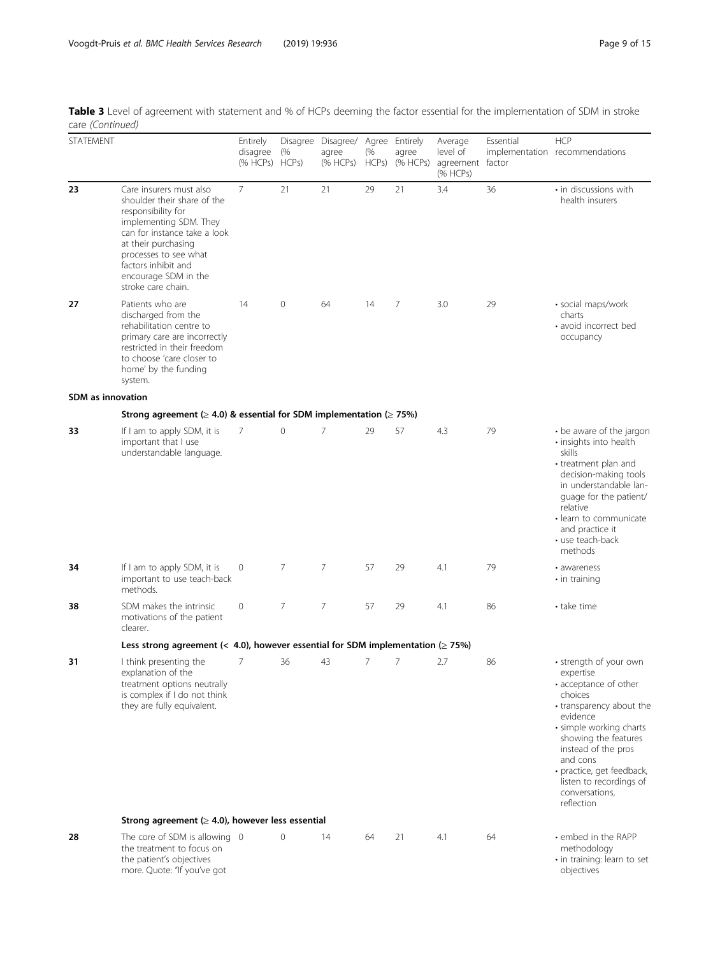|                         | Table 3 Level of agreement with statement and % of HCPs deeming the factor essential for the implementation of SDM in stroke |  |  |  |  |  |
|-------------------------|------------------------------------------------------------------------------------------------------------------------------|--|--|--|--|--|
| care <i>(Continued)</i> |                                                                                                                              |  |  |  |  |  |

| <b>STATEMENT</b>         |                                                                                                                                                                                                                                                             | Entirely<br>disagree<br>(% HCPs) HCPs) | (%             | Disagree Disagree/ Agree Entirely<br>agree<br>(% HCPs) | (%<br>HCPs) | agree<br>(% HCPs) | Average<br>level of<br>agreement factor<br>(% HCPs) | Essential | <b>HCP</b><br>implementation recommendations                                                                                                                                                                                                                                                  |
|--------------------------|-------------------------------------------------------------------------------------------------------------------------------------------------------------------------------------------------------------------------------------------------------------|----------------------------------------|----------------|--------------------------------------------------------|-------------|-------------------|-----------------------------------------------------|-----------|-----------------------------------------------------------------------------------------------------------------------------------------------------------------------------------------------------------------------------------------------------------------------------------------------|
| 23                       | Care insurers must also<br>shoulder their share of the<br>responsibility for<br>implementing SDM. They<br>can for instance take a look<br>at their purchasing<br>processes to see what<br>factors inhibit and<br>encourage SDM in the<br>stroke care chain. | $\overline{7}$                         | 21             | 21                                                     | 29          | 21                | 3.4                                                 | 36        | • in discussions with<br>health insurers                                                                                                                                                                                                                                                      |
| 27                       | Patients who are<br>discharged from the<br>rehabilitation centre to<br>primary care are incorrectly<br>restricted in their freedom<br>to choose 'care closer to<br>home' by the funding<br>system.                                                          | 14                                     | 0              | 64                                                     | 14          | 7                 | 3.0                                                 | 29        | · social maps/work<br>charts<br>• avoid incorrect bed<br>occupancy                                                                                                                                                                                                                            |
| <b>SDM</b> as innovation |                                                                                                                                                                                                                                                             |                                        |                |                                                        |             |                   |                                                     |           |                                                                                                                                                                                                                                                                                               |
|                          | Strong agreement ( $\geq$ 4.0) & essential for SDM implementation ( $\geq$ 75%)                                                                                                                                                                             |                                        |                |                                                        |             |                   |                                                     |           |                                                                                                                                                                                                                                                                                               |
| 33                       | If I am to apply SDM, it is<br>important that I use<br>understandable language.                                                                                                                                                                             | 7                                      | $\mathbf 0$    | $\overline{7}$                                         | 29          | 57                | 4.3                                                 | 79        | • be aware of the jargon<br>· insights into health<br>skills<br>• treatment plan and<br>decision-making tools<br>in understandable lan-<br>guage for the patient/<br>relative<br>· learn to communicate<br>and practice it<br>• use teach-back<br>methods                                     |
| 34                       | If I am to apply SDM, it is<br>important to use teach-back<br>methods.                                                                                                                                                                                      | 0                                      | $\overline{7}$ | $\overline{7}$                                         | 57          | 29                | 4.1                                                 | 79        | • awareness<br>$\cdot$ in training                                                                                                                                                                                                                                                            |
| 38                       | SDM makes the intrinsic<br>motivations of the patient<br>clearer.                                                                                                                                                                                           | 0                                      | $\overline{7}$ | $\overline{7}$                                         | 57          | 29                | 4.1                                                 | 86        | • take time                                                                                                                                                                                                                                                                                   |
|                          | Less strong agreement (< 4.0), however essential for SDM implementation ( $\geq$ 75%)                                                                                                                                                                       |                                        |                |                                                        |             |                   |                                                     |           |                                                                                                                                                                                                                                                                                               |
| 31                       | I think presenting the<br>explanation of the<br>treatment options neutrally<br>is complex if I do not think<br>they are fully equivalent.                                                                                                                   | 7                                      | 36             | 43                                                     | 7           | 7                 | 2.7                                                 | 86        | • strength of your own<br>expertise<br>• acceptance of other<br>choices<br>• transparency about the<br>evidence<br>· simple working charts<br>showing the features<br>instead of the pros<br>and cons<br>· practice, get feedback,<br>listen to recordings of<br>conversations,<br>reflection |
|                          | Strong agreement ( $\geq$ 4.0), however less essential                                                                                                                                                                                                      |                                        |                |                                                        |             |                   |                                                     |           |                                                                                                                                                                                                                                                                                               |
| 28                       | The core of SDM is allowing 0<br>the treatment to focus on<br>the patient's objectives<br>more. Quote: "If you've got                                                                                                                                       |                                        | $\mathbf{0}$   | 14                                                     | 64          | 21                | 4.1                                                 | 64        | • embed in the RAPP<br>methodology<br>• in training: learn to set<br>objectives                                                                                                                                                                                                               |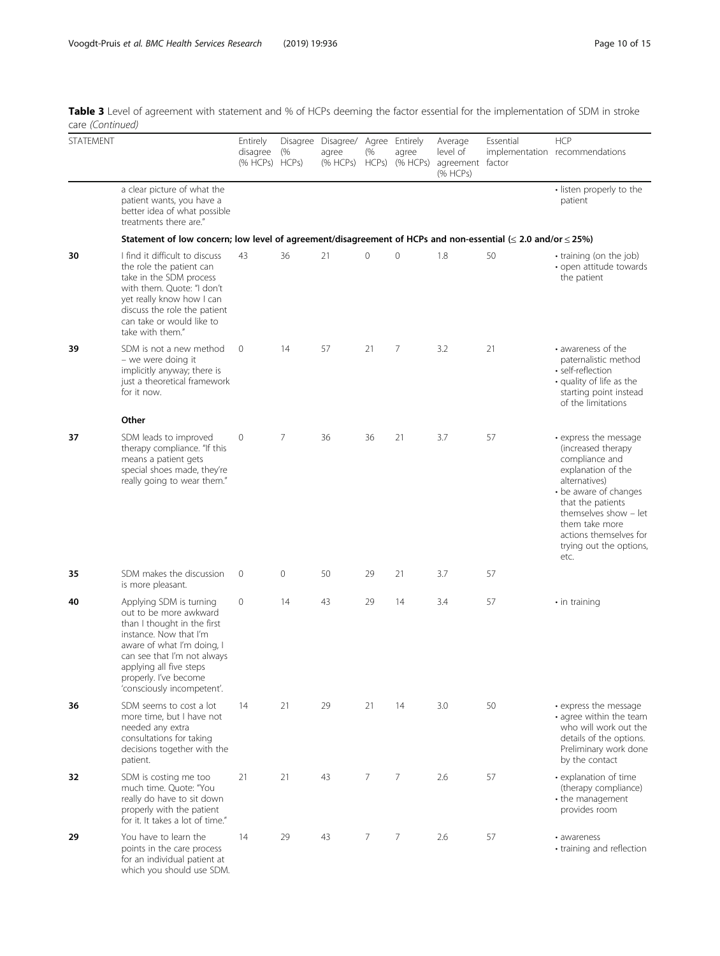Table 3 Level of agreement with statement and % of HCPs deeming the factor essential for the implementation of SDM in stroke care (Continued)

| care (correntaca) |                                                                                                                                                                                                                                                           |                                        |                |                                                        |                |                   |                                                     |           |                                                                                                                                                                                                                                                            |
|-------------------|-----------------------------------------------------------------------------------------------------------------------------------------------------------------------------------------------------------------------------------------------------------|----------------------------------------|----------------|--------------------------------------------------------|----------------|-------------------|-----------------------------------------------------|-----------|------------------------------------------------------------------------------------------------------------------------------------------------------------------------------------------------------------------------------------------------------------|
| <b>STATEMENT</b>  |                                                                                                                                                                                                                                                           | Entirely<br>disagree<br>(% HCPs) HCPs) | (%             | Disagree Disagree/ Agree Entirely<br>agree<br>(% HCPs) | (%<br>HCPs)    | agree<br>(% HCPs) | Average<br>level of<br>agreement factor<br>(% HCPs) | Essential | <b>HCP</b><br>implementation recommendations                                                                                                                                                                                                               |
|                   | a clear picture of what the<br>patient wants, you have a<br>better idea of what possible<br>treatments there are."                                                                                                                                        |                                        |                |                                                        |                |                   |                                                     |           | · listen properly to the<br>patient                                                                                                                                                                                                                        |
|                   | Statement of low concern; low level of agreement/disagreement of HCPs and non-essential ( $\leq$ 2.0 and/or $\leq$ 25%)                                                                                                                                   |                                        |                |                                                        |                |                   |                                                     |           |                                                                                                                                                                                                                                                            |
| 30                | I find it difficult to discuss<br>the role the patient can<br>take in the SDM process<br>with them. Quote: "I don't<br>yet really know how I can<br>discuss the role the patient<br>can take or would like to<br>take with them."                         | 43                                     | 36             | 21                                                     | $\circ$        | 0                 | 1.8                                                 | 50        | • training (on the job)<br>• open attitude towards<br>the patient                                                                                                                                                                                          |
| 39                | SDM is not a new method<br>- we were doing it<br>implicitly anyway; there is<br>just a theoretical framework<br>for it now.                                                                                                                               | $\circ$                                | 14             | 57                                                     | 21             | 7                 | 3.2                                                 | 21        | • awareness of the<br>paternalistic method<br>· self-reflection<br>• quality of life as the<br>starting point instead<br>of the limitations                                                                                                                |
|                   | Other                                                                                                                                                                                                                                                     |                                        |                |                                                        |                |                   |                                                     |           |                                                                                                                                                                                                                                                            |
| 37                | SDM leads to improved<br>therapy compliance. "If this<br>means a patient gets<br>special shoes made, they're<br>really going to wear them."                                                                                                               | 0                                      | $\overline{7}$ | 36                                                     | 36             | 21                | 3.7                                                 | 57        | • express the message<br>(increased therapy<br>compliance and<br>explanation of the<br>alternatives)<br>• be aware of changes<br>that the patients<br>themselves show - let<br>them take more<br>actions themselves for<br>trying out the options,<br>etc. |
| 35                | SDM makes the discussion<br>is more pleasant.                                                                                                                                                                                                             | $\mathbf 0$                            | 0              | 50                                                     | 29             | 21                | 3.7                                                 | 57        |                                                                                                                                                                                                                                                            |
| 40                | Applying SDM is turning<br>out to be more awkward<br>than I thought in the first<br>instance. Now that I'm<br>aware of what I'm doing, I<br>can see that I'm not always<br>applying all five steps<br>properly. I've become<br>'consciously incompetent'. | 0                                      | 14             | 43                                                     | 29             | 14                | 3.4                                                 | 57        | $\cdot$ in training                                                                                                                                                                                                                                        |
| 36                | SDM seems to cost a lot<br>more time, but I have not<br>needed any extra<br>consultations for taking<br>decisions together with the<br>patient.                                                                                                           | 14                                     | 21             | 29                                                     | 21             | 14                | 3.0                                                 | 50        | • express the message<br>• agree within the team<br>who will work out the<br>details of the options.<br>Preliminary work done<br>by the contact                                                                                                            |
| 32                | SDM is costing me too<br>much time. Ouote: "You<br>really do have to sit down<br>properly with the patient<br>for it. It takes a lot of time."                                                                                                            | 21                                     | 21             | 43                                                     | $\overline{7}$ | 7                 | 2.6                                                 | 57        | • explanation of time<br>(therapy compliance)<br>• the management<br>provides room                                                                                                                                                                         |
| 29                | You have to learn the<br>points in the care process<br>for an individual patient at<br>which you should use SDM.                                                                                                                                          | 14                                     | 29             | 43                                                     | $\overline{7}$ | $\overline{7}$    | 2.6                                                 | 57        | • awareness<br>training and reflection                                                                                                                                                                                                                     |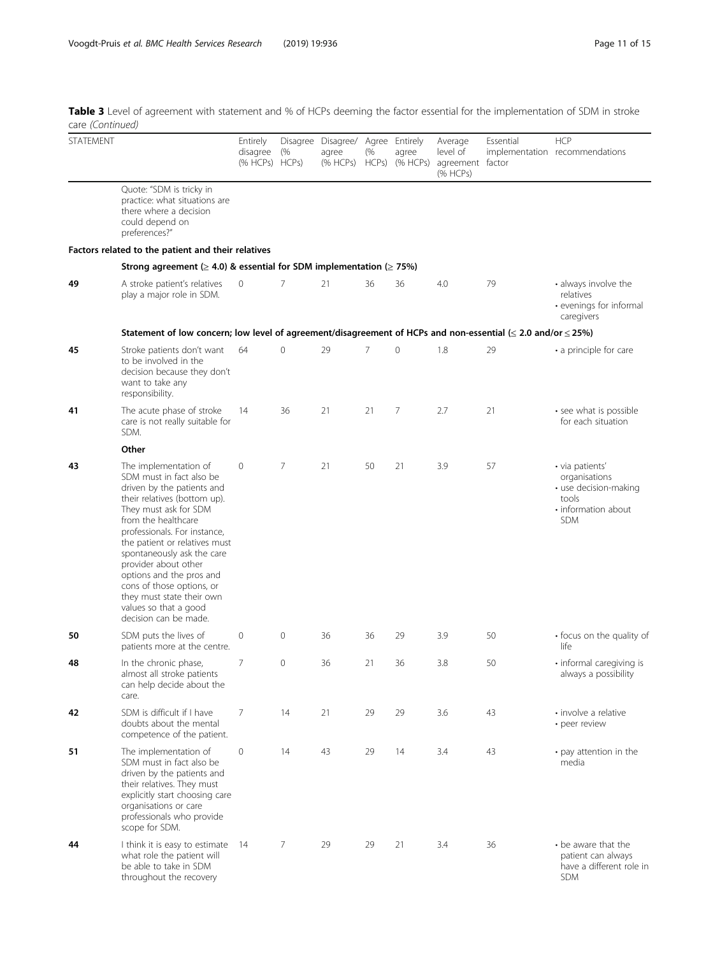Table 3 Level of agreement with statement and % of HCPs deeming the factor essential for the implementation of SDM in stroke care (Continued)

| $\epsilon$ ure (evinnacu) |                                                                                                                                                                                                                                                                                                                                                                                                                                |                                        |                |                                                             |                |                   |                                                     |           |                                                                                                         |
|---------------------------|--------------------------------------------------------------------------------------------------------------------------------------------------------------------------------------------------------------------------------------------------------------------------------------------------------------------------------------------------------------------------------------------------------------------------------|----------------------------------------|----------------|-------------------------------------------------------------|----------------|-------------------|-----------------------------------------------------|-----------|---------------------------------------------------------------------------------------------------------|
| <b>STATEMENT</b>          |                                                                                                                                                                                                                                                                                                                                                                                                                                | Entirely<br>disagree<br>(% HCPs) HCPs) | (%             | Disagree Disagree/ Agree Entirely<br>agree<br>$(%$ HCPs $)$ | (%<br>HCPs)    | agree<br>(% HCPs) | Average<br>level of<br>agreement factor<br>(% HCPs) | Essential | <b>HCP</b><br>implementation recommendations                                                            |
|                           | Quote: "SDM is tricky in<br>practice: what situations are<br>there where a decision<br>could depend on<br>preferences?"                                                                                                                                                                                                                                                                                                        |                                        |                |                                                             |                |                   |                                                     |           |                                                                                                         |
|                           | Factors related to the patient and their relatives                                                                                                                                                                                                                                                                                                                                                                             |                                        |                |                                                             |                |                   |                                                     |           |                                                                                                         |
|                           | Strong agreement ( $\geq$ 4.0) & essential for SDM implementation ( $\geq$ 75%)                                                                                                                                                                                                                                                                                                                                                |                                        |                |                                                             |                |                   |                                                     |           |                                                                                                         |
| 49                        | A stroke patient's relatives<br>play a major role in SDM.                                                                                                                                                                                                                                                                                                                                                                      | 0                                      | 7              | 21                                                          | 36             | 36                | 4.0                                                 | 79        | • always involve the<br>relatives<br>• evenings for informal<br>caregivers                              |
|                           | Statement of low concern; low level of agreement/disagreement of HCPs and non-essential ( $\leq$ 2.0 and/or $\leq$ 25%)                                                                                                                                                                                                                                                                                                        |                                        |                |                                                             |                |                   |                                                     |           |                                                                                                         |
| 45                        | Stroke patients don't want<br>to be involved in the<br>decision because they don't<br>want to take any<br>responsibility.                                                                                                                                                                                                                                                                                                      | 64                                     | $\circ$        | 29                                                          | $\overline{7}$ | $\mathbf 0$       | 1.8                                                 | 29        | • a principle for care                                                                                  |
| 41                        | The acute phase of stroke<br>care is not really suitable for<br>SDM.                                                                                                                                                                                                                                                                                                                                                           | 14                                     | 36             | 21                                                          | 21             | 7                 | 2.7                                                 | 21        | • see what is possible<br>for each situation                                                            |
|                           | Other                                                                                                                                                                                                                                                                                                                                                                                                                          |                                        |                |                                                             |                |                   |                                                     |           |                                                                                                         |
| 43                        | The implementation of<br>SDM must in fact also be<br>driven by the patients and<br>their relatives (bottom up).<br>They must ask for SDM<br>from the healthcare<br>professionals. For instance,<br>the patient or relatives must<br>spontaneously ask the care<br>provider about other<br>options and the pros and<br>cons of those options, or<br>they must state their own<br>values so that a good<br>decision can be made. | 0                                      | $\overline{7}$ | 21                                                          | 50             | 21                | 3.9                                                 | 57        | · via patients'<br>organisations<br>· use decision-making<br>tools<br>• information about<br><b>SDM</b> |
| 50                        | SDM puts the lives of<br>patients more at the centre.                                                                                                                                                                                                                                                                                                                                                                          | $\circ$                                | $\circ$        | 36                                                          | 36             | 29                | 3.9                                                 | 50        | • focus on the quality of<br>life                                                                       |
| 48                        | In the chronic phase,<br>almost all stroke patients<br>can help decide about the<br>care.                                                                                                                                                                                                                                                                                                                                      | 7                                      | $\overline{0}$ | 36                                                          | 21             | 36                | 3.8                                                 | 50        | · informal caregiving is<br>always a possibility                                                        |
| 42                        | SDM is difficult if I have<br>doubts about the mental<br>competence of the patient.                                                                                                                                                                                                                                                                                                                                            | 7                                      | 14             | 21                                                          | 29             | 29                | 3.6                                                 | 43        | • involve a relative<br>• peer review                                                                   |
| 51                        | The implementation of<br>SDM must in fact also be<br>driven by the patients and<br>their relatives. They must<br>explicitly start choosing care<br>organisations or care<br>professionals who provide<br>scope for SDM.                                                                                                                                                                                                        | $\circ$                                | 14             | 43                                                          | 29             | 14                | 3.4                                                 | 43        | • pay attention in the<br>media                                                                         |
| 44                        | I think it is easy to estimate 14<br>what role the patient will<br>be able to take in SDM<br>throughout the recovery                                                                                                                                                                                                                                                                                                           |                                        | 7              | 29                                                          | 29             | 21                | 3.4                                                 | 36        | • be aware that the<br>patient can always<br>have a different role in<br><b>SDM</b>                     |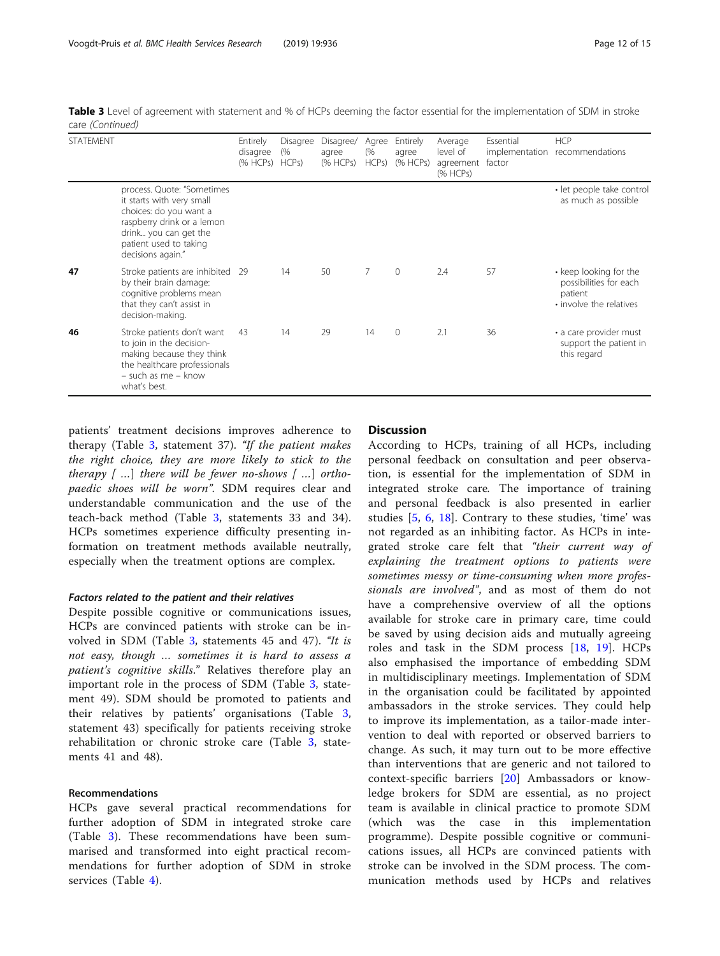Table 3 Level of agreement with statement and % of HCPs deeming the factor essential for the implementation of SDM in stroke care (Continued)

| <b>STATEMENT</b> |                                                                                                                                                                                         | Entirely<br>disagree<br>(% HCPs) | Disagree<br>(%<br>HCPS | Disagree/<br>agree<br>(% HCPs) | Agree<br>(%<br>HCPs) | Entirely<br>agree<br>(% HCPs) | Average<br>level of<br>agreement<br>(% HCPs) | Essential<br>factor | <b>HCP</b><br>implementation recommendations                                           |
|------------------|-----------------------------------------------------------------------------------------------------------------------------------------------------------------------------------------|----------------------------------|------------------------|--------------------------------|----------------------|-------------------------------|----------------------------------------------|---------------------|----------------------------------------------------------------------------------------|
|                  | process. Quote: "Sometimes<br>it starts with very small<br>choices: do you want a<br>raspberry drink or a lemon<br>drink you can get the<br>patient used to taking<br>decisions again." |                                  |                        |                                |                      |                               |                                              |                     | · let people take control<br>as much as possible                                       |
| 47               | Stroke patients are inhibited 29<br>by their brain damage:<br>cognitive problems mean<br>that they can't assist in<br>decision-making.                                                  |                                  | 14                     | 50                             | 7                    | $\mathbf{0}$                  | 2.4                                          | 57                  | • keep looking for the<br>possibilities for each<br>patient<br>• involve the relatives |
| 46               | Stroke patients don't want<br>to join in the decision-<br>making because they think<br>the healthcare professionals<br>- such as me - know<br>what's best.                              | 43                               | 14                     | 29                             | 14                   | $\mathbf{0}$                  | 2.1                                          | 36                  | • a care provider must<br>support the patient in<br>this regard                        |

patients' treatment decisions improves adherence to therapy (Table [3](#page-5-0), statement 37). "If the patient makes the right choice, they are more likely to stick to the therapy  $[$ ...] there will be fewer no-shows  $[$ ...] orthopaedic shoes will be worn". SDM requires clear and understandable communication and the use of the teach-back method (Table [3](#page-5-0), statements 33 and 34). HCPs sometimes experience difficulty presenting information on treatment methods available neutrally, especially when the treatment options are complex.

#### Factors related to the patient and their relatives

Despite possible cognitive or communications issues, HCPs are convinced patients with stroke can be involved in SDM (Table [3](#page-5-0), statements 45 and 47). "It is not easy, though … sometimes it is hard to assess a patient's cognitive skills." Relatives therefore play an important role in the process of SDM (Table [3](#page-5-0), statement 49). SDM should be promoted to patients and their relatives by patients' organisations (Table [3](#page-5-0), statement 43) specifically for patients receiving stroke rehabilitation or chronic stroke care (Table [3,](#page-5-0) statements 41 and 48).

## Recommendations

HCPs gave several practical recommendations for further adoption of SDM in integrated stroke care (Table [3\)](#page-5-0). These recommendations have been summarised and transformed into eight practical recommendations for further adoption of SDM in stroke services (Table [4](#page-12-0)).

## **Discussion**

According to HCPs, training of all HCPs, including personal feedback on consultation and peer observation, is essential for the implementation of SDM in integrated stroke care. The importance of training and personal feedback is also presented in earlier studies  $[5, 6, 18]$  $[5, 6, 18]$  $[5, 6, 18]$  $[5, 6, 18]$  $[5, 6, 18]$  $[5, 6, 18]$  $[5, 6, 18]$ . Contrary to these studies, 'time' was not regarded as an inhibiting factor. As HCPs in integrated stroke care felt that "their current way of explaining the treatment options to patients were sometimes messy or time-consuming when more professionals are involved", and as most of them do not have a comprehensive overview of all the options available for stroke care in primary care, time could be saved by using decision aids and mutually agreeing roles and task in the SDM process [\[18](#page-13-0), [19](#page-13-0)]. HCPs also emphasised the importance of embedding SDM in multidisciplinary meetings. Implementation of SDM in the organisation could be facilitated by appointed ambassadors in the stroke services. They could help to improve its implementation, as a tailor-made intervention to deal with reported or observed barriers to change. As such, it may turn out to be more effective than interventions that are generic and not tailored to context-specific barriers [\[20](#page-14-0)] Ambassadors or knowledge brokers for SDM are essential, as no project team is available in clinical practice to promote SDM (which was the case in this implementation programme). Despite possible cognitive or communications issues, all HCPs are convinced patients with stroke can be involved in the SDM process. The communication methods used by HCPs and relatives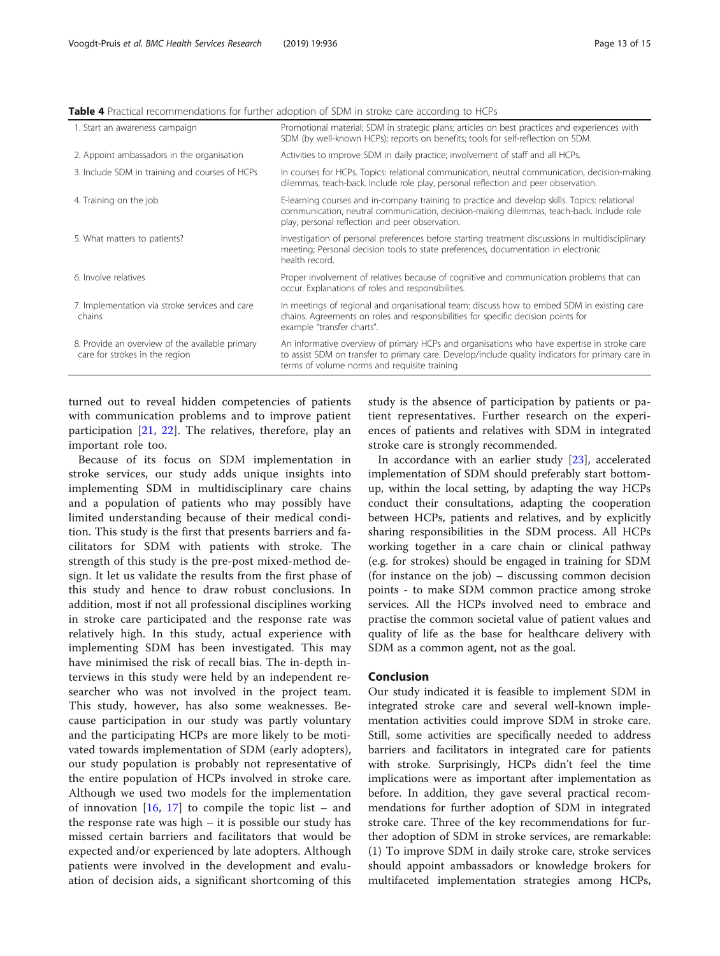#### <span id="page-12-0"></span>Table 4 Practical recommendations for further adoption of SDM in stroke care according to HCPs

| 1. Start an awareness campaign                                                    | Promotional material; SDM in strategic plans; articles on best practices and experiences with<br>SDM (by well-known HCPs); reports on benefits; tools for self-reflection on SDM.                                                                |
|-----------------------------------------------------------------------------------|--------------------------------------------------------------------------------------------------------------------------------------------------------------------------------------------------------------------------------------------------|
| 2. Appoint ambassadors in the organisation                                        | Activities to improve SDM in daily practice; involvement of staff and all HCPs.                                                                                                                                                                  |
| 3. Include SDM in training and courses of HCPs                                    | In courses for HCPs. Topics: relational communication, neutral communication, decision-making<br>dilemmas, teach-back. Include role play, personal reflection and peer observation.                                                              |
| 4. Training on the job                                                            | E-learning courses and in-company training to practice and develop skills. Topics: relational<br>communication, neutral communication, decision-making dilemmas, teach-back. Include role<br>play, personal reflection and peer observation.     |
| 5. What matters to patients?                                                      | Investigation of personal preferences before starting treatment discussions in multidisciplinary<br>meeting; Personal decision tools to state preferences, documentation in electronic<br>health record.                                         |
| 6. Involve relatives                                                              | Proper involvement of relatives because of cognitive and communication problems that can<br>occur. Explanations of roles and responsibilities.                                                                                                   |
| 7. Implementation via stroke services and care<br>chains                          | In meetings of regional and organisational team: discuss how to embed SDM in existing care<br>chains. Agreements on roles and responsibilities for specific decision points for<br>example "transfer charts".                                    |
| 8. Provide an overview of the available primary<br>care for strokes in the region | An informative overview of primary HCPs and organisations who have expertise in stroke care<br>to assist SDM on transfer to primary care. Develop/include quality indicators for primary care in<br>terms of volume norms and requisite training |

turned out to reveal hidden competencies of patients with communication problems and to improve patient participation [\[21](#page-14-0), [22\]](#page-14-0). The relatives, therefore, play an important role too.

Because of its focus on SDM implementation in stroke services, our study adds unique insights into implementing SDM in multidisciplinary care chains and a population of patients who may possibly have limited understanding because of their medical condition. This study is the first that presents barriers and facilitators for SDM with patients with stroke. The strength of this study is the pre-post mixed-method design. It let us validate the results from the first phase of this study and hence to draw robust conclusions. In addition, most if not all professional disciplines working in stroke care participated and the response rate was relatively high. In this study, actual experience with implementing SDM has been investigated. This may have minimised the risk of recall bias. The in-depth interviews in this study were held by an independent researcher who was not involved in the project team. This study, however, has also some weaknesses. Because participation in our study was partly voluntary and the participating HCPs are more likely to be motivated towards implementation of SDM (early adopters), our study population is probably not representative of the entire population of HCPs involved in stroke care. Although we used two models for the implementation of innovation  $[16, 17]$  $[16, 17]$  $[16, 17]$  to compile the topic list – and the response rate was high – it is possible our study has missed certain barriers and facilitators that would be expected and/or experienced by late adopters. Although patients were involved in the development and evaluation of decision aids, a significant shortcoming of this study is the absence of participation by patients or patient representatives. Further research on the experiences of patients and relatives with SDM in integrated stroke care is strongly recommended.

In accordance with an earlier study [\[23](#page-14-0)], accelerated implementation of SDM should preferably start bottomup, within the local setting, by adapting the way HCPs conduct their consultations, adapting the cooperation between HCPs, patients and relatives, and by explicitly sharing responsibilities in the SDM process. All HCPs working together in a care chain or clinical pathway (e.g. for strokes) should be engaged in training for SDM (for instance on the job) – discussing common decision points - to make SDM common practice among stroke services. All the HCPs involved need to embrace and practise the common societal value of patient values and quality of life as the base for healthcare delivery with SDM as a common agent, not as the goal.

## Conclusion

Our study indicated it is feasible to implement SDM in integrated stroke care and several well-known implementation activities could improve SDM in stroke care. Still, some activities are specifically needed to address barriers and facilitators in integrated care for patients with stroke. Surprisingly, HCPs didn't feel the time implications were as important after implementation as before. In addition, they gave several practical recommendations for further adoption of SDM in integrated stroke care. Three of the key recommendations for further adoption of SDM in stroke services, are remarkable: (1) To improve SDM in daily stroke care, stroke services should appoint ambassadors or knowledge brokers for multifaceted implementation strategies among HCPs,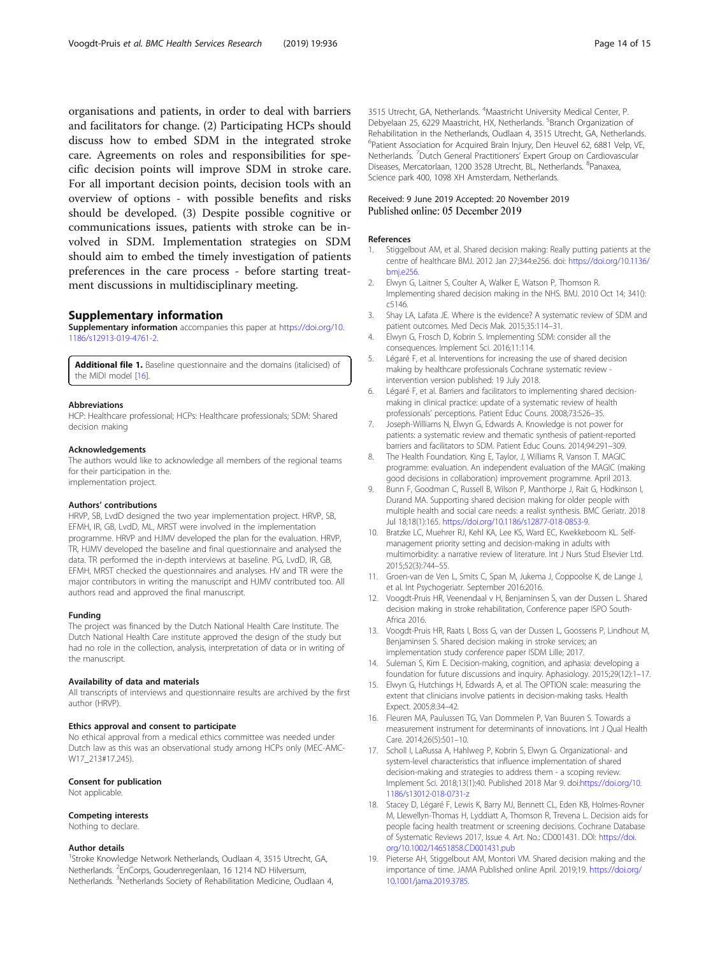<span id="page-13-0"></span>organisations and patients, in order to deal with barriers and facilitators for change. (2) Participating HCPs should discuss how to embed SDM in the integrated stroke care. Agreements on roles and responsibilities for specific decision points will improve SDM in stroke care. For all important decision points, decision tools with an overview of options - with possible benefits and risks should be developed. (3) Despite possible cognitive or communications issues, patients with stroke can be involved in SDM. Implementation strategies on SDM should aim to embed the timely investigation of patients preferences in the care process - before starting treatment discussions in multidisciplinary meeting.

## Supplementary information

Supplementary information accompanies this paper at [https://doi.org/10.](https://doi.org/10.1186/s12913-019-4761-2) [1186/s12913-019-4761-2.](https://doi.org/10.1186/s12913-019-4761-2)

Additional file 1. Baseline questionnaire and the domains (italicised) of the MIDI model [16].

#### Abbreviations

HCP: Healthcare professional; HCPs: Healthcare professionals; SDM: Shared decision making

#### Acknowledgements

The authors would like to acknowledge all members of the regional teams for their participation in the. implementation project.

#### Authors' contributions

HRVP, SB, LvdD designed the two year implementation project. HRVP, SB, EFMH, IR, GB, LvdD, ML, MRST were involved in the implementation programme. HRVP and HJMV developed the plan for the evaluation. HRVP, TR, HJMV developed the baseline and final questionnaire and analysed the data. TR performed the in-depth interviews at baseline. PG, LvdD, IR, GB, EFMH, MRST checked the questionnaires and analyses. HV and TR were the major contributors in writing the manuscript and HJMV contributed too. All authors read and approved the final manuscript.

#### Funding

The project was financed by the Dutch National Health Care Institute. The Dutch National Health Care institute approved the design of the study but had no role in the collection, analysis, interpretation of data or in writing of the manuscript.

#### Availability of data and materials

All transcripts of interviews and questionnaire results are archived by the first author (HRVP).

#### Ethics approval and consent to participate

No ethical approval from a medical ethics committee was needed under Dutch law as this was an observational study among HCPs only (MEC-AMC-W17\_213#17.245).

#### Consent for publication

Not applicable.

#### Competing interests

Nothing to declare.

#### Author details

<sup>1</sup>Stroke Knowledge Network Netherlands, Oudlaan 4, 3515 Utrecht, GA, Netherlands. <sup>2</sup> EnCorps, Goudenregenlaan, 16 1214 ND Hilversum, Netherlands. <sup>3</sup>Netherlands Society of Rehabilitation Medicine, Oudlaan 4,

3515 Utrecht, GA, Netherlands. <sup>4</sup>Maastricht University Medical Center, P. Debyelaan 25, 6229 Maastricht, HX, Netherlands. <sup>5</sup>Branch Organization of Rehabilitation in the Netherlands, Oudlaan 4, 3515 Utrecht, GA, Netherlands. <sup>6</sup>Patient Association for Acquired Brain Injury, Den Heuvel 62, 6881 Velp, VE Netherlands. <sup>7</sup>Dutch General Practitioners' Expert Group on Cardiovascular Diseases, Mercatorlaan, 1200 3528 Utrecht, BL, Netherlands. <sup>8</sup>Panaxea, Science park 400, 1098 XH Amsterdam, Netherlands.

#### Received: 9 June 2019 Accepted: 20 November 2019 Published online: 05 December 2019

#### References

- 1. Stiggelbout AM, et al. Shared decision making: Really putting patients at the centre of healthcare BMJ. 2012 Jan 27;344:e256. doi: [https://doi.org/10.1136/](https://doi.org/10.1136/bmj.e256) [bmj.e256.](https://doi.org/10.1136/bmj.e256)
- 2. Elwyn G, Laitner S, Coulter A, Walker E, Watson P, Thomson R. Implementing shared decision making in the NHS. BMJ. 2010 Oct 14; 341(): c5146.
- 3. Shay LA, Lafata JE. Where is the evidence? A systematic review of SDM and patient outcomes. Med Decis Mak. 2015;35:114–31.
- 4. Elwyn G, Frosch D, Kobrin S. Implementing SDM: consider all the consequences. Implement Sci. 2016;11:114.
- 5. Légaré F, et al. Interventions for increasing the use of shared decision making by healthcare professionals Cochrane systematic review intervention version published: 19 July 2018.
- 6. Légaré F, et al. Barriers and facilitators to implementing shared decisionmaking in clinical practice: update of a systematic review of health professionals' perceptions. Patient Educ Couns. 2008;73:526–35.
- 7. Joseph-Williams N, Elwyn G, Edwards A. Knowledge is not power for patients: a systematic review and thematic synthesis of patient-reported barriers and facilitators to SDM. Patient Educ Couns. 2014;94:291–309.
- 8. The Health Foundation. King E, Taylor, J, Williams R, Vanson T. MAGIC programme: evaluation. An independent evaluation of the MAGIC (making good decisions in collaboration) improvement programme. April 2013.
- 9. Bunn F, Goodman C, Russell B, Wilson P, Manthorpe J, Rait G, Hodkinson I, Durand MA. Supporting shared decision making for older people with multiple health and social care needs: a realist synthesis. BMC Geriatr. 2018 Jul 18;18(1):165. [https://doi.org/10.1186/s12877-018-0853-9.](https://doi.org/10.1186/s12877-018-0853-9)
- 10. Bratzke LC, Muehrer RJ, Kehl KA, Lee KS, Ward EC, Kwekkeboom KL. Selfmanagement priority setting and decision-making in adults with multimorbidity: a narrative review of literature. Int J Nurs Stud Elsevier Ltd. 2015;52(3):744–55.
- 11. Groen-van de Ven L, Smits C, Span M, Jukema J, Coppoolse K, de Lange J, et al. Int Psychogeriatr. September 2016:2016.
- 12. Voogdt-Pruis HR, Veenendaal v H, Benjaminsen S, van der Dussen L. Shared decision making in stroke rehabilitation, Conference paper ISPO South-Africa 2016.
- 13. Voogdt-Pruis HR, Raats I, Boss G, van der Dussen L, Goossens P, Lindhout M, Benjaminsen S. Shared decision making in stroke services; an implementation study conference paper ISDM Lille; 2017.
- 14. Suleman S, Kim E. Decision-making, cognition, and aphasia: developing a foundation for future discussions and inquiry. Aphasiology. 2015;29(12):1–17.
- 15. Elwyn G, Hutchings H, Edwards A, et al. The OPTION scale: measuring the extent that clinicians involve patients in decision-making tasks. Health Expect. 2005;8:34–42.
- 16. Fleuren MA, Paulussen TG, Van Dommelen P, Van Buuren S. Towards a measurement instrument for determinants of innovations. Int J Qual Health Care. 2014;26(5):501–10.
- 17. Scholl I, LaRussa A, Hahlweg P, Kobrin S, Elwyn G. Organizational- and system-level characteristics that influence implementation of shared decision-making and strategies to address them - a scoping review. Implement Sci. 2018;13(1):40. Published 2018 Mar 9. doi:[https://doi.org/10.](https://doi.org/10.1186/s13012-018-0731-z) [1186/s13012-018-0731-z](https://doi.org/10.1186/s13012-018-0731-z)
- 18. Stacey D, Légaré F, Lewis K, Barry MJ, Bennett CL, Eden KB, Holmes-Rovner M, Llewellyn-Thomas H, Lyddiatt A, Thomson R, Trevena L. Decision aids for people facing health treatment or screening decisions. Cochrane Database of Systematic Reviews 2017, Issue 4. Art. No.: CD001431. DOI: [https://doi.](https://doi.org/10.1002/14651858.CD001431.pub) [org/10.1002/14651858.CD001431.pub](https://doi.org/10.1002/14651858.CD001431.pub)
- 19. Pieterse AH, Stiggelbout AM, Montori VM. Shared decision making and the importance of time. JAMA Published online April. 2019;19. [https://doi.org/](https://doi.org/10.1001/jama.2019.3785) [10.1001/jama.2019.3785](https://doi.org/10.1001/jama.2019.3785).